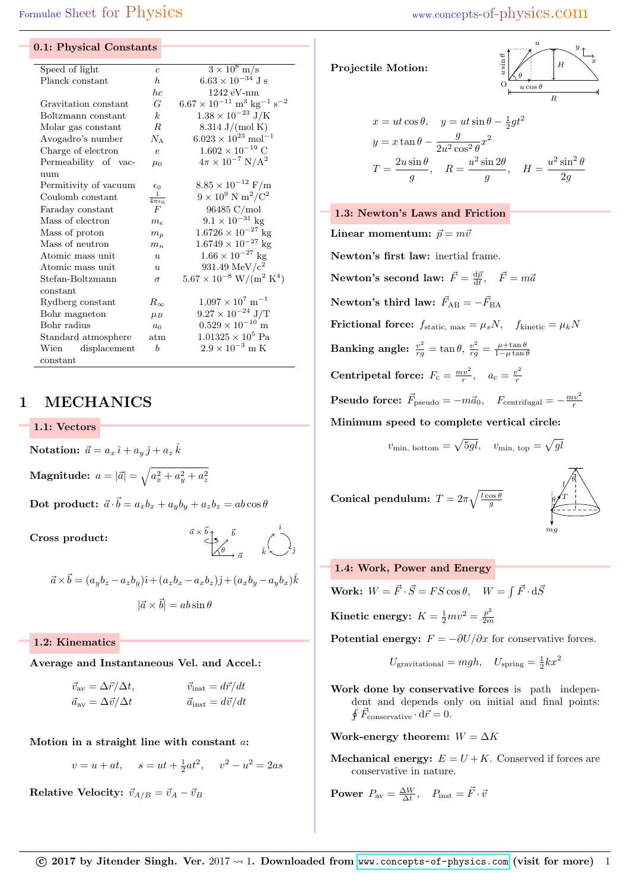### 0.1: Physical Constants

| Speed of light        | $\overline{c}$             | $\frac{3 \times 10^8 \text{ m}}{s}$                      |  |  |  |  |  |
|-----------------------|----------------------------|----------------------------------------------------------|--|--|--|--|--|
| Planck constant       | $\hbar$                    | $6.63 \times 10^{-34}$ J s                               |  |  |  |  |  |
|                       | hc                         | $1242 eV-nm$                                             |  |  |  |  |  |
| Gravitation constant  | G                          | $6.67\times 10^{-11}~{\rm m^3~kg^{-1}~s^{-2}}$           |  |  |  |  |  |
| Boltzmann constant    | $\mathbf{k}$               | $1.38 \times 10^{-23}$ J/K                               |  |  |  |  |  |
| Molar gas constant    | R.                         | $8.314 \text{ J/(mol K)}$                                |  |  |  |  |  |
| Avogadro's number     | $N_{\rm A}$                | $6.023 \times 10^{23}$ mol <sup>-1</sup>                 |  |  |  |  |  |
| Charge of electron    | $\epsilon$                 | $1.602 \times 10^{-19}$ C                                |  |  |  |  |  |
| Permeability of vac-  | $\mu_0$                    | $4\pi \times 10^{-7} \text{ N/A}^2$                      |  |  |  |  |  |
| uum                   |                            |                                                          |  |  |  |  |  |
| Permitivity of vacuum | $\epsilon_0$               | $8.85 \times 10^{-12} \text{ F/m}$                       |  |  |  |  |  |
| Coulomb constant      | $\frac{1}{4\pi\epsilon_0}$ | $9 \times 10^9$ N m <sup>2</sup> /C <sup>2</sup>         |  |  |  |  |  |
| Faraday constant      | F                          | 96485 C/mol                                              |  |  |  |  |  |
| Mass of electron      | $m_{e}$                    | $9.1 \times 10^{-31}$ kg                                 |  |  |  |  |  |
| Mass of proton        | $m_p$                      | $1.6726 \times 10^{-27}$ kg                              |  |  |  |  |  |
| Mass of neutron       | $m_n$                      | $1.6749 \times 10^{-27}$ kg                              |  |  |  |  |  |
| Atomic mass unit      | u                          | $1.66 \times 10^{-27}$ kg                                |  |  |  |  |  |
| Atomic mass unit      | $\boldsymbol{u}$           | 931.49 MeV/ $c^2$                                        |  |  |  |  |  |
| Stefan-Boltzmann      | $\sigma$                   | $5.67 \times 10^{-8}$ W/(m <sup>2</sup> K <sup>4</sup> ) |  |  |  |  |  |
| constant              |                            |                                                          |  |  |  |  |  |
| Rydberg constant      | $R_{\infty}$               | $1.097 \times 10^7 \text{ m}^{-1}$                       |  |  |  |  |  |
| Bohr magneton         | $\mu_B$                    | $9.27 \times 10^{-24}$ J/T                               |  |  |  |  |  |
| Bohr radius           | $a_0$                      | $0.529 \times 10^{-10}$ m                                |  |  |  |  |  |
| Standard atmosphere   | atm                        | $1.01325\times10^5$ Pa                                   |  |  |  |  |  |
| Wien displacement     | $\boldsymbol{b}$           | $2.9 \times 10^{-3}$ m K                                 |  |  |  |  |  |
| constant              |                            |                                                          |  |  |  |  |  |
|                       |                            |                                                          |  |  |  |  |  |

## 1 MECHANICS

1.1: Vectors

Notation:  $\vec{a} = a_x \hat{i} + a_y \hat{j} + a_z \hat{k}$  $\textbf{Magnitude:}~~a=|\vec{a}|=\sqrt{a_x^2+a_y^2+a_z^2}$ 

 $\textbf{Dot } \textbf{ product:}~~ \vec{a} \cdot \vec{b} = a_x b_x + a_y b_y + a_z b_z = ab \cos \theta$ 

Cross product:



$$
\vec{a} \times \vec{b} = (a_y b_z - a_z b_y)\hat{i} + (a_z b_x - a_x b_z)\hat{j} + (a_x b_y - a_y b_x)\hat{k}
$$

$$
|\vec{a} \times \vec{b}| = ab \sin \theta
$$

1.2: Kinematics

Average and Instantaneous Vel. and Accel.:

| $\vec{v}_{\text{av}} = \Delta \vec{r} / \Delta t,$ | $\vec{v}_{inst} = d\vec{r}/dt$ |
|----------------------------------------------------|--------------------------------|
| $\vec{a}_{\text{av}} = \Delta \vec{v}/\Delta t$    | $\vec{a}_{inst} = d\vec{v}/dt$ |

Motion in a straight line with constant a:

$$
v = u + at
$$
,  $s = ut + \frac{1}{2}at^2$ ,  $v^2 - u^2 = 2as$ 

Relative Velocity:  $\vec{v}_{A/B} = \vec{v}_A - \vec{v}_B$ 

## Projectile Motion:

$$
\begin{array}{c}\n\begin{array}{c}\n\vdots \\
\downarrow \\
\downarrow \\
\hline\n\end{array}\n\end{array}\n\qquad\n\begin{array}{c}\n\begin{array}{c}\n\downarrow \\
\downarrow \\
\downarrow \\
\downarrow \\
\hline\n\end{array}\n\end{array}\n\qquad\n\begin{array}{c}\n\begin{array}{c}\n\downarrow \\
\downarrow \\
\downarrow \\
\downarrow \\
\hline\n\end{array}\n\end{array}
$$

$$
x = ut \cos \theta, \quad y = ut \sin \theta - \frac{1}{2}gt^2
$$

$$
y = x \tan \theta - \frac{g}{2u^2 \cos^2 \theta} x^2
$$

$$
T = \frac{2u \sin \theta}{g}, \quad R = \frac{u^2 \sin 2\theta}{g}, \quad H = \frac{u^2 \sin^2 \theta}{2g}
$$

## 1.3: Newton's Laws and Friction

Linear momentum:  $\vec{p} = m\vec{v}$ Newton's first law: inertial frame. Newton's second law:  $\vec{F} = \frac{d\vec{p}}{dt}$ ,  $\vec{F} = m\vec{a}$ Newton's third law:  $\vec{F}_{AB} = -\vec{F}_{BA}$ Frictional force:  $f_{\text{static, max}} = \mu_s N$ ,  $f_{\text{kinetic}} = \mu_k N$  $\textbf{Banking angle: } \frac{v^2}{rg} = \tan\theta, \, \frac{v^2}{rg} = \frac{\mu + \tan\theta}{1 - \mu\tan\theta}$ Centripetal force:  $F_c = \frac{mv^2}{r}$ ,  $a_c = \frac{v^2}{r}$ r **Pseudo force:**  $\vec{F}_{\text{pseudo}} = -m\vec{a}_0$ ,  $F_{\text{centrifugal}} = -\frac{mv^2}{r}$ Minimum speed to complete vertical circle:  $v_{\text{min, bottom}} = \sqrt{5gl}$ ,  $v_{\text{min, top}} = \sqrt{gl}$ 

Conical pendulum:  $T = 2\pi \sqrt{\frac{l \cos \theta}{g}}$ 



## 1.4: Work, Power and Energy Work:  $W = \vec{F} \cdot \vec{S} = FS \cos \theta$ ,  $W = \int \vec{F} \cdot d\vec{S}$ Kinetic energy:  $K = \frac{1}{2}mv^2 = \frac{p^2}{2m}$ 2m Potential energy:  $F = -\partial U/\partial x$  for conservative forces.

$$
U_{\text{gravitational}} = mgh, \quad U_{\text{spring}} = \frac{1}{2}kx^2
$$

Work done by conservative forces is path independent and depends only on initial and final points:  $\oint \vec{F}_{\text{conservative}} \cdot d\vec{r} = 0.$ 

Work-energy theorem:  $W = \Delta K$ 

**Mechanical energy:**  $E = U + K$ . Conserved if forces are conservative in nature.

**Power** 
$$
P_{\text{av}} = \frac{\Delta W}{\Delta t}
$$
,  $P_{\text{inst}} = \vec{F} \cdot \vec{v}$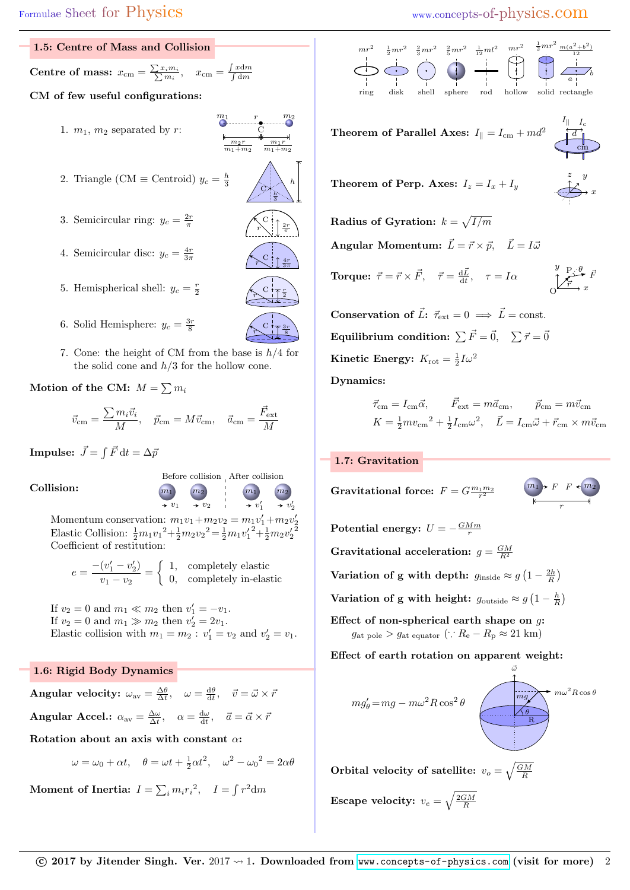| 1.5: Centre of Mass and Collision                                                                                       |                                                                                                                |
|-------------------------------------------------------------------------------------------------------------------------|----------------------------------------------------------------------------------------------------------------|
| <b>Centre of mass:</b> $x_{\text{cm}} = \frac{\sum x_i m_i}{\sum m_i}, \quad x_{\text{cm}} = \frac{\int x dm}{\int dm}$ |                                                                                                                |
| CM of few useful configurations:                                                                                        |                                                                                                                |
| 1. $m_1$ , $m_2$ separated by r:                                                                                        | $\begin{array}{ccc}\nm_1 & & r & & m_2 \\ \hline\n\end{array}$<br>$m_2r$<br>$m_1r$<br>$m_1 + m_2$<br>$m_1+m_2$ |

- 2. Triangle (CM  $\equiv$  Centroid)  $y_c = \frac{h}{3}$
- 3. Semicircular ring:  $y_c = \frac{2r}{\pi}$
- 4. Semicircular disc:  $y_c = \frac{4r}{3\pi}$  $3\pi$   $\left(\searrow^{\bullet} \uparrow \frac{4r}{\sqrt{2}}\right)$
- 5. Hemispherical shell:  $y_c = \frac{r}{2}$
- 6. Solid Hemisphere:  $y_c = \frac{3r}{8}$
- 7. Cone: the height of CM from the base is  $h/4$  for the solid cone and  $h/3$  for the hollow cone.

Motion of the CM:  $M = \sum m_i$ 

$$
\vec{v}_{\rm cm} = \frac{\sum m_i \vec{v}_i}{M}, \quad \vec{p}_{\rm cm} = M \vec{v}_{\rm cm}, \quad \vec{a}_{\rm cm} = \frac{\vec{F}_{\rm ext}}{M}
$$

 $\textbf{Impulse:}~~\vec{J}=\int \vec{F}\,\mathrm{d}t=\Delta\bar{p}$ 

Collision:  $\begin{pmatrix} m_1 & m_2 \end{pmatrix}$ 



Before collision After collision

h

 $\frac{2r}{2}$  $r \setminus \mid \frac{2n}{\pi}$ 

 $3\pi$ 

r 2

 $\frac{3r}{2}$ 8

 $\prime$ 

C  $\overline{h}$ 3

C

 $\widetilde{r}$ 

 $\mathbf C$  $\widetilde{r}$ 

 $\mathbf C$  $\widetilde{r}$ 

2 Momentum conservation:  $m_1v_1 + m_2v_2 = m_1v'_1 + m_2v'_2$ <br>Electic Collision:  $\frac{1}{2}m_1v_1^2 + m_2v_2^2 - \frac{1}{2}m_1v'_1^2 + m_2v'_2^2$ Elastic Collision:  $\frac{1}{2}m_1v_1^2 + \frac{1}{2}m_2v_2^2 = \frac{1}{2}m_1v_1^2 + \frac{1}{2}m_2v_2^2$ Coefficient of restitution:

 $\rightarrow v_1$   $\rightarrow v_2$ 

$$
e = \frac{-(v_1' - v_2')}{v_1 - v_2} = \begin{cases} 1, & \text{completely elastic} \\ 0, & \text{completely in-elastic} \end{cases}
$$

If  $v_2 = 0$  and  $m_1 \ll m_2$  then  $v'_1 = -v_1$ . If  $v_2 = 0$  and  $m_1 \gg m_2$  then  $v'_2 = 2v_1$ . Elastic collision with  $m_1 = m_2$ :  $v'_1 = v_2$  and  $v'_2 = v_1$ .

## 1.6: Rigid Body Dynamics

Angular velocity:  $\omega_{\text{av}} = \frac{\Delta \theta}{\Delta t}, \quad \omega = \frac{d\theta}{dt}, \quad \vec{v} = \vec{\omega} \times \vec{r}$ Angular Accel.:  $\alpha_{\text{av}} = \frac{\Delta \omega}{\Delta t}, \quad \alpha = \frac{d\omega}{dt}, \quad \vec{a} = \vec{\alpha} \times \vec{r}$ 

Rotation about an axis with constant  $\alpha$ :

 $\omega = \omega_0 + \alpha t, \quad \theta = \omega t + \frac{1}{2} \alpha t^2, \quad \omega^2 - {\omega_0}^2 = 2\alpha \theta$ 

Moment of Inertia:  $I = \sum_i m_i r_i^2$ ,  $I = \int r^2 dm$ 

## Formulae Sheet for Physics www.concepts-of-physics.com



Theorem of Parallel Axes:  $I_{\parallel} = I_{\rm cm} + m d^2$ 

Theorem of Perp. **Axes:** 
$$
I_z = I_x + I_y
$$

$$
\overbrace{\text{S}^x}^z \xrightarrow{y} x
$$

 $I_{\parallel}$ d  $I_c$ 

cm

 $\frac{\theta}{F}$   $\bar{F}$ 

 $m_1$   $\rightarrow$   $F$   $F$   $\leftarrow$   $m_2$ 

Radius of Gyration:  $k = \sqrt{I/m}$ 

Angular Momentum:  $\vec{L} = \vec{r} \times \vec{p}$ ,  $\vec{L} = I \vec{\omega}$ 

**Torque:**  $\vec{\tau} = \vec{r} \times \vec{F}$ ,  $\vec{\tau} = \frac{d\vec{L}}{dt}$ ,  $\tau = I\alpha$  $0 \xrightarrow{\vee} x$  $\frac{y}{y}$  P  $\bar{r}$ 

**Conservation of**  $\vec{L}$ **:**  $\vec{\tau}_{ext} = 0 \implies \vec{L} = \text{const.}$ Equilibrium condition:  $\sum \vec{F} = \vec{0}, \quad \sum \vec{\tau} = \vec{0}$ Kinetic Energy:  $K_{\rm rot} = \frac{1}{2}I\omega^2$ 

Dynamics:

$$
\begin{aligned} \vec{\tau}_{\rm cm} &= I_{\rm cm} \vec{\alpha}, \qquad \vec{F}_{\rm ext} = m \vec{a}_{\rm cm}, \qquad \vec{p}_{\rm cm} = m \vec{v}_{\rm cm} \\ K &= \tfrac{1}{2} m v_{\rm cm}^2 + \tfrac{1}{2} I_{\rm cm} \omega^2, \quad \vec{L} = I_{\rm cm} \vec{\omega} + \vec{r}_{\rm cm} \times m \vec{v}_{\rm cm} \end{aligned}
$$

### 1.7: Gravitation

Gravitational force:  $F = G \frac{m_1 m_2}{r^2}$ r Potential energy:  $U = -\frac{GMm}{r}$ Gravitational acceleration:  $g = \frac{GM}{R^2}$ Variation of g with depth:  $g_{\text{inside}} \approx g \left( 1 - \frac{2h}{R} \right)$ Variation of g with height:  $g_{\text{outside}} \approx g \left( 1 - \frac{h}{R} \right)$ Effect of non-spherical earth shape on  $g$ :  $g_{\text{at pole}} > g_{\text{at equator}} \ (\because R_{\text{e}} - R_{\text{p}} \approx 21 \text{ km})$ 

Effect of earth rotation on apparent weight:

$$
mg'_{\theta} = mg - m\omega^2 R \cos^2 \theta
$$

Orbital velocity of satellite:  $v_o = \sqrt{\frac{GM}{R}}$ 

Escape velocity:  $v_e = \sqrt{\frac{2GM}{R}}$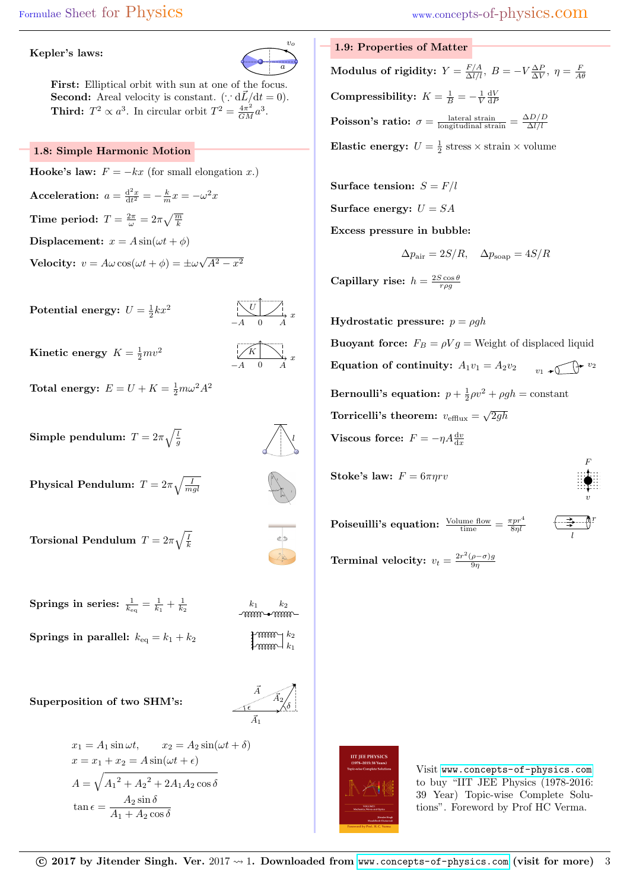### Kepler's laws:



First: Elliptical orbit with sun at one of the focus. **Second:** Areal velocity is constant. ( $\therefore d\vec{L}/dt = 0$ ). **Third:**  $T^2 \propto a^3$ . In circular orbit  $T^2 = \frac{4\pi^2}{GM}a^3$ .

## 1.8: Simple Harmonic Motion

**Hooke's law:**  $F = -kx$  (for small elongation x.) Acceleration:  $a = \frac{d^2x}{dt^2} = -\frac{k}{m}x = -\omega^2x$ Time period:  $T = \frac{2\pi}{\omega} = 2\pi \sqrt{\frac{m}{k}}$ Displacement:  $x = A \sin(\omega t + \phi)$ **Velocity:**  $v = A\omega \cos(\omega t + \phi) = \pm \omega$  $\sqrt{A^2-x^2}$ 

Potential energy:  $U = \frac{1}{2}kx^2$ 

$$
-A \quad 0 \quad A
$$

Kinetic energy  $K = \frac{1}{2}mv^2$ 

$$
\begin{array}{ccc}\n & & \\
\hline\n & K & \\
\hline\n & A & 0 & A\n\end{array}
$$

l

Total energy:  $E = U + K = \frac{1}{2}m\omega^2 A^2$ 

Simple pendulum:  $T=2\pi\sqrt{\frac{l}{g}}$ 

 $\textbf{Physical Pendulum: } T = 2\pi \sqrt{\frac{I}{mgl}}$ 

Torsional Pendulum  $T=2\pi\sqrt{\frac{I}{k}}$ 

 $\textbf{Springs in series: } \frac{1}{k_{\text{eq}}} = \frac{1}{k_1} + \frac{1}{k_2}$ Springs in parallel:  $k_{\text{eq}} = k_1 + k_2$ 

$$
\left.\begin{matrix}+\text{mmm}\\+\text{mmm}\end{matrix}\right]_{k_{1}}^{k_{2}}
$$

 $\begin{matrix} k_1 & k_2 \ \sqrt{m} & m \end{matrix}$ 

ا ک

Superposition of two SHM's:

$$
\overrightarrow{A_2}_{\delta}
$$
\n
$$
\overrightarrow{A_1}
$$

$$
x_1 = A_1 \sin \omega t, \qquad x_2 = A_2 \sin(\omega t + \delta)
$$

$$
x = x_1 + x_2 = A \sin(\omega t + \epsilon)
$$

$$
A = \sqrt{A_1^2 + A_2^2 + 2A_1 A_2 \cos \delta}
$$

$$
\tan \epsilon = \frac{A_2 \sin \delta}{A_1 + A_2 \cos \delta}
$$

# 1.9: Properties of Matter

Modulus of rigidity:  $Y = \frac{F/A}{\Delta l/l},\ B=-V\frac{\Delta P}{\Delta V},\ \eta=\frac{F}{A\theta}$ Compressibility:  $K = \frac{1}{B} = -\frac{1}{V} \frac{dV}{dF}$ **Poisson's ratio:**  $\sigma = \frac{\text{lateral strain}}{\text{longitudinal strain}} = \frac{\Delta D/D}{\Delta l/l}$  $\Delta l/l$ **Elastic energy:**  $U = \frac{1}{2}$  stress  $\times$  strain  $\times$  volume

Surface tension: 
$$
S = F/l
$$
  
Surface energy:  $U = SA$   
Excess pressure in bubble:

$$
\Delta p_{\text{air}} = 2S/R, \quad \Delta p_{\text{soup}} = 4S/R
$$

Capillary rise:  $h = \frac{2S \cos \theta}{r \rho g}$ 

Hydrostatic pressure:  $p = \rho gh$ **Buoyant force:**  $F_B = \rho V g =$  Weight of displaced liquid Equation of continuity:  $A_1v_1 = A_2v_2$  $v_1$  +  $\bigcap$  +  $v_2$ Bernoulli's equation:  $p + \frac{1}{2}\rho v^2 + \rho gh = \text{constant}$ Torricelli's theorem:  $v_{\text{efflux}} = \sqrt{2gh}$ Viscous force:  $F = -\eta A \frac{dv}{dx}$ 

**Stoke's law:** 
$$
F = 6\pi\eta rv
$$

Poiseuilli's equation:  $\frac{\text{Volume flow}}{\text{time}} = \frac{\pi p r^4}{8 \eta l}$ 

l r

F

v

**Terminal velocity:**  $v_t = \frac{2r^2(\rho - \sigma)g}{9n}$  $9<sub>η</sub>$ 



Visit <www.concepts-of-physics.com> to buy "IIT JEE Physics (1978-2016: 39 Year) Topic-wise Complete Solutions". Foreword by Prof HC Verma.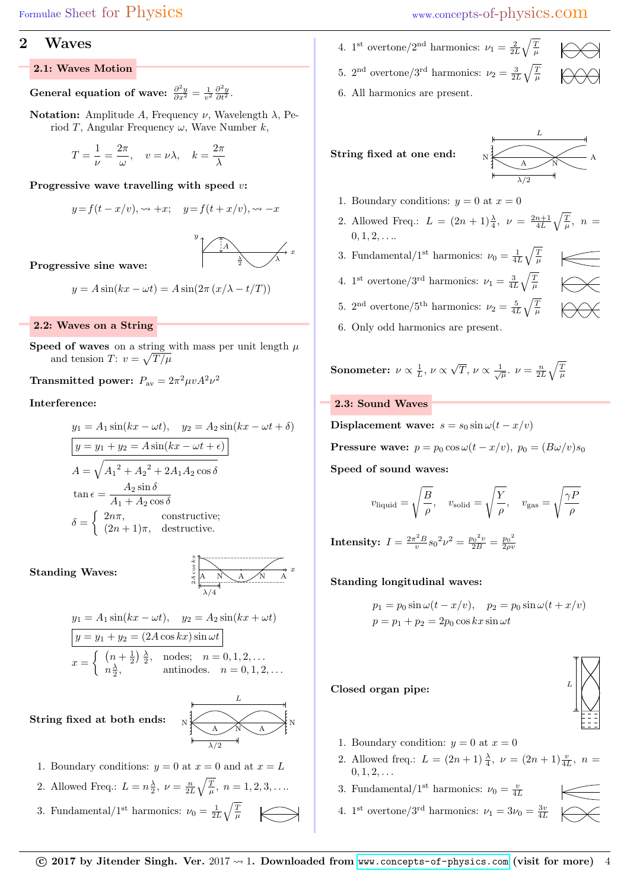## Formulae Sheet for Physics www.concepts-of-physics.com

## 2 Waves

## 2.1: Waves Motion

General equation of wave:  $\frac{\partial^2 y}{\partial x^2} = \frac{1}{v^2} \frac{\partial^2 y}{\partial t^2}$ .

**Notation:** Amplitude A, Frequency  $\nu$ , Wavelength  $\lambda$ , Period T, Angular Frequency  $\omega$ , Wave Number k,

$$
T = \frac{1}{\nu} = \frac{2\pi}{\omega}, \quad v = \nu\lambda, \quad k = \frac{2\pi}{\lambda}
$$

Progressive wave travelling with speed  $v$ :

$$
y = f(t - x/v), \rightsquigarrow +x; \quad y = f(t + x/v), \rightsquigarrow -x
$$



Progressive sine wave:

$$
y = A\sin(kx - \omega t) = A\sin(2\pi (x/\lambda - t/T))
$$

## 2.2: Waves on a String

Speed of waves on a string with mass per unit length  $\mu$ and tension T:  $v = \sqrt{T/\mu}$ 

Transmitted power:  $P_{\text{av}} = 2\pi^2 \mu v A^2 \nu^2$ 

## Interference:

$$
y_1 = A_1 \sin(kx - \omega t), \quad y_2 = A_2 \sin(kx - \omega t + \delta)
$$
  
\n
$$
y = y_1 + y_2 = A \sin(kx - \omega t + \epsilon)
$$
  
\n
$$
A = \sqrt{A_1^2 + A_2^2 + 2A_1A_2 \cos \delta}
$$
  
\n
$$
\tan \epsilon = \frac{A_2 \sin \delta}{A_1 + A_2 \cos \delta}
$$
  
\n
$$
\delta = \begin{cases} 2n\pi, & \text{constructive;} \\ (2n + 1)\pi, & \text{destructive.} \end{cases}
$$

Standing Waves:

$$
\begin{array}{c|c}\n\downarrow \\
\downarrow \\
\downarrow \\
\hline\n\downarrow \\
\hline\n\downarrow\n\end{array}
$$

$$
y_1 = A_1 \sin(kx - \omega t), \quad y_2 = A_2 \sin(kx + \omega t)
$$
  
\n
$$
y = y_1 + y_2 = (2A \cos kx) \sin \omega t
$$
  
\n
$$
x = \begin{cases} (n + \frac{1}{2}) \frac{\lambda}{2}, & \text{nodes}; \quad n = 0, 1, 2, \dots \\ n \frac{\lambda}{2}, & \text{antinodes}. \quad n = 0, 1, 2, \dots \end{cases}
$$

N

String fixed at both ends:

$$
\begin{array}{c|c}\n & L \\
\hline\n\end{array}
$$

- 1. Boundary conditions:  $y = 0$  at  $x = 0$  and at  $x = L$
- 2. Allowed Freq.:  $L = n \frac{\lambda}{2}, \ \nu = \frac{n}{2L} \sqrt{\frac{T}{\mu}}, \ n = 1, 2, 3, \dots$

3. Fundamental/1<sup>st</sup> harmonics: 
$$
\nu_0 = \frac{1}{2L} \sqrt{\frac{T}{\mu}}
$$

- 4. 1<sup>st</sup> overtone/2<sup>nd</sup> harmonics:  $\nu_1 = \frac{2}{2L} \sqrt{\frac{T}{\mu}}$ 
	-
- 5.  $2^{\text{nd}}$  overtone/3<sup>rd</sup> harmonics:  $\nu_2 = \frac{3}{2L}\sqrt{\frac{T}{\mu}}$

6. All harmonics are present.

String fixed at one end:



- 1. Boundary conditions:  $y = 0$  at  $x = 0$
- 2. Allowed Freq.:  $L = (2n+1)\frac{\lambda}{4}, \nu = \frac{2n+1}{4L}\sqrt{\frac{T}{\mu}}, n =$  $0, 1, 2, \ldots$
- 3. Fundamental/1<sup>st</sup> harmonics:  $\nu_0 = \frac{1}{4L} \sqrt{\frac{T}{\mu}}$
- 4. 1<sup>st</sup> overtone/3<sup>rd</sup> harmonics:  $\nu_1 = \frac{3}{4L}\sqrt{\frac{T}{\mu}}$
- 
- 5.  $2^{\text{nd}}$  overtone/5<sup>th</sup> harmonics:  $\nu_2 = \frac{5}{4L} \sqrt{\frac{T}{\mu}}$
- 6. Only odd harmonics are present.

**Sonometer:** 
$$
\nu \propto \frac{1}{L}
$$
,  $\nu \propto \sqrt{T}$ ,  $\nu \propto \frac{1}{\sqrt{\mu}}$ .  $\nu = \frac{n}{2L} \sqrt{\frac{T}{\mu}}$ 

### 2.3: Sound Waves

Displacement wave:  $s = s_0 \sin \omega (t - x/v)$ 

**Pressure wave:**  $p = p_0 \cos \omega (t - x/v)$ ,  $p_0 = (B\omega/v)s_0$ 

Speed of sound waves:

$$
v_{\rm liquid} = \sqrt{\frac{B}{\rho}}, \quad v_{\rm solid} = \sqrt{\frac{Y}{\rho}}, \quad v_{\rm gas} = \sqrt{\frac{\gamma P}{\rho}}
$$

 $\textbf{Intensity: } I = \frac{2\pi^2 B}{v} s_0^{\,2} \nu^2 = \frac{{p_0}^2 v}{2 B} = \frac{{p_0}^2}{2 \rho v}$  $2\rho v$ 

## Standing longitudinal waves:

$$
p_1 = p_0 \sin \omega (t - x/v), \quad p_2 = p_0 \sin \omega (t + x/v)
$$
  

$$
p = p_1 + p_2 = 2p_0 \cos kx \sin \omega t
$$

### Closed organ pipe:



- 1. Boundary condition:  $y = 0$  at  $x = 0$
- 2. Allowed freq.:  $L = (2n+1)\frac{\lambda}{4}$ ,  $\nu = (2n+1)\frac{v}{4L}$ ,  $n =$  $0, 1, 2, \ldots$
- 3. Fundamental/1<sup>st</sup> harmonics:  $\nu_0 = \frac{v}{4L}$
- 4. 1<sup>st</sup> overtone/3<sup>rd</sup> harmonics:  $\nu_1 = 3\nu_0 = \frac{3v}{4L}$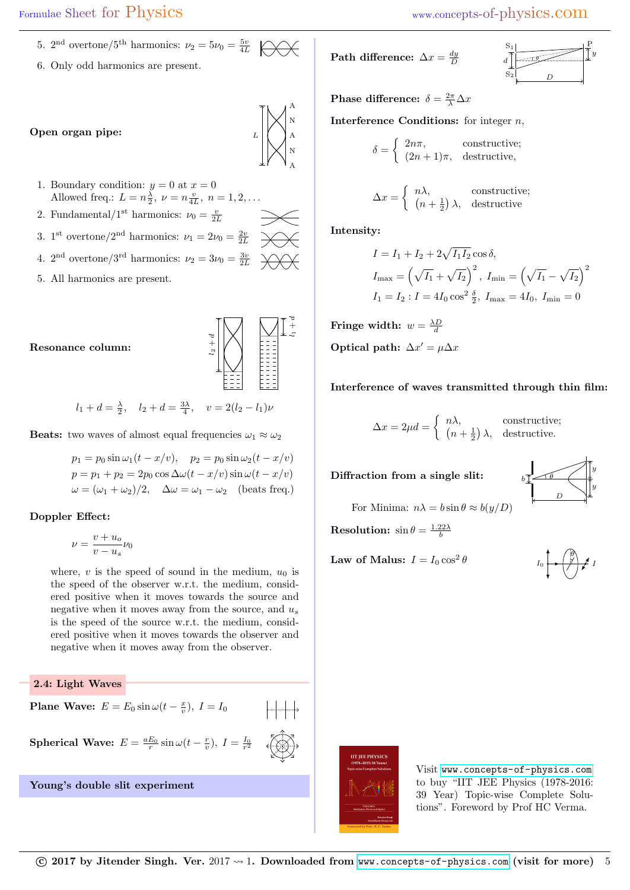- 5.  $2<sup>nd</sup> overtone/5<sup>th</sup> harmonics: \nu_2 = 5\nu_0 = \frac{5v}{4L}$
- 6. Only odd harmonics are present.



- 1. Boundary condition:  $y = 0$  at  $x = 0$ Allowed freq.:  $L = n\frac{\lambda}{2}, \nu = n\frac{v}{4L}, n = 1, 2, \dots$
- 2. Fundamental/1<sup>st</sup> harmonics:  $\nu_0 = \frac{v}{2L}$
- 3. 1<sup>st</sup> overtone/2<sup>nd</sup> harmonics:  $\nu_1 = 2\nu_0 = \frac{2v}{2L}$
- 4.  $2^{\text{nd}}$  overtone/3<sup>rd</sup> harmonics:  $\nu_2 = 3\nu_0 = \frac{3v}{2L}$
- 5. All harmonics are present.





$$
l_1 + d = \frac{\lambda}{2}, \quad l_2 + d = \frac{3\lambda}{4}, \quad v = 2(l_2 - l_1)\nu
$$

**Beats:** two waves of almost equal frequencies  $\omega_1 \approx \omega_2$ 

$$
p_1 = p_0 \sin \omega_1 (t - x/v), \quad p_2 = p_0 \sin \omega_2 (t - x/v)
$$

$$
p = p_1 + p_2 = 2p_0 \cos \Delta \omega (t - x/v) \sin \omega (t - x/v)
$$

$$
\omega = (\omega_1 + \omega_2)/2, \quad \Delta \omega = \omega_1 - \omega_2 \quad \text{(beats freq.)}
$$

## Doppler Effect:

$$
\nu=\frac{v+u_o}{v-u_s}\nu_0
$$

where,  $v$  is the speed of sound in the medium,  $u_0$  is the speed of the observer w.r.t. the medium, considered positive when it moves towards the source and negative when it moves away from the source, and  $u_s$ is the speed of the source w.r.t. the medium, considered positive when it moves towards the observer and negative when it moves away from the observer.

2.4: Light Waves

**Plane Wave:**  $E = E_0 \sin \omega (t - \frac{x}{v}), I = I_0$ 

Spherical Wave:  $E = \frac{aE_0}{r} \sin \omega (t - \frac{r}{v}), I = \frac{I_0}{r^2}$ 

Young's double slit experiment



$$
\begin{array}{c|c}\nS_1 \\
d \\
S_2\n\end{array}
$$

Phase difference:  $\delta = \frac{2\pi}{\lambda} \Delta x$ 

**Interference Conditions:** for integer  $n$ ,

$$
\delta = \begin{cases} 2n\pi, & \text{constructive;} \\ (2n+1)\pi, & \text{destructive,} \end{cases}
$$

$$
\Delta x = \begin{cases} n\lambda, & \text{constructive;} \\ (n + \frac{1}{2}) \lambda, & \text{destructive} \end{cases}
$$

Intensity:

A N A N A

$$
I = I_1 + I_2 + 2\sqrt{I_1 I_2} \cos \delta,
$$
  
\n
$$
I_{\text{max}} = \left(\sqrt{I_1} + \sqrt{I_2}\right)^2, \ I_{\text{min}} = \left(\sqrt{I_1} - \sqrt{I_2}\right)^2
$$
  
\n
$$
I_1 = I_2 : I = 4I_0 \cos^2 \frac{\delta}{2}, \ I_{\text{max}} = 4I_0, \ I_{\text{min}} = 0
$$

Fringe width:  $w = \frac{\lambda D}{d}$ Optical path:  $\Delta x' = \mu \Delta x$ 

Interference of waves transmitted through thin film:

$$
\Delta x = 2\mu d = \begin{cases} n\lambda, & \text{constructive;} \\ (n + \frac{1}{2}) \lambda, & \text{destructive.} \end{cases}
$$

Diffraction from a single slit:



For Minima:  $n\lambda = b \sin \theta \approx b(y/D)$ 

**Resolution:**  $\sin \theta = \frac{1.22\lambda}{b}$ 

Law of Malus:  $I = I_0 \cos^2 \theta$ 





Visit <www.concepts-of-physics.com> to buy "IIT JEE Physics (1978-2016: 39 Year) Topic-wise Complete Solutions". Foreword by Prof HC Verma.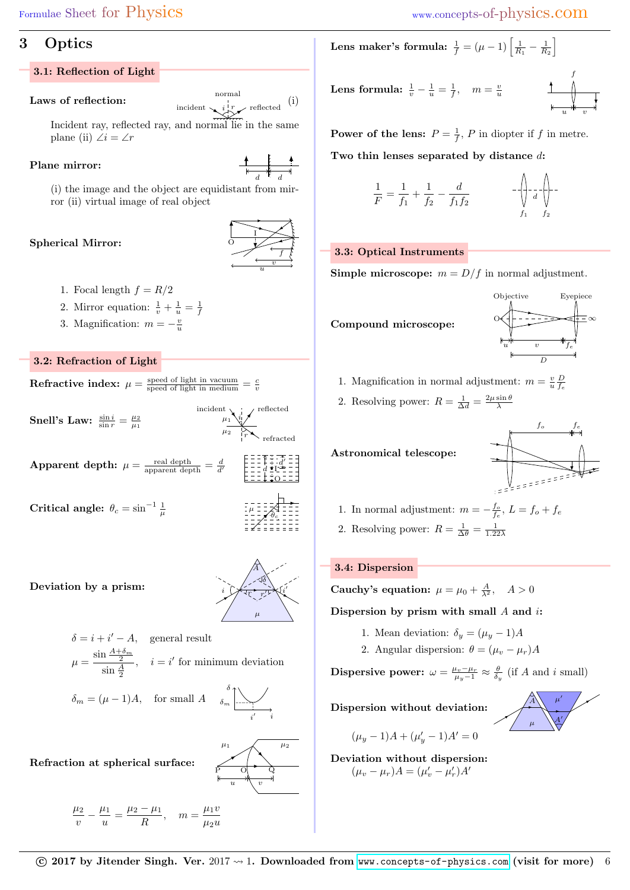# 3 Optics

## 3.1: Reflection of Light

Laws of reflection:  $\begin{array}{c} \text{normal} \\ \text{incident} \searrow i \downarrow r \quad \text{reflected} \end{array}$  (i)

Incident ray, reflected ray, and normal lie in the same plane (ii)  $\angle i = \angle r$ 

## Plane mirror:

 $d$  d

(i) the image and the object are equidistant from mirror (ii) virtual image of real object

## Spherical Mirror:



- 1. Focal length  $f = R/2$
- 2. Mirror equation:  $\frac{1}{v} + \frac{1}{u} = \frac{1}{f}$
- 3. Magnification:  $m = -\frac{v}{u}$

## 3.2: Refraction of Light

**Refractive index:** 
$$
\mu = \frac{\text{speed of light in vacuum}}{\text{speed of light in medium}} = \frac{c}{v}
$$

Snell's Law:  $\frac{\sin i}{\sin r} = \frac{\mu_2}{\mu_1}$ 

 $\mu_1$  $\mu_2$ refracted i r

reflected

 $\overline{O}$  $d \bullet I$ d  $\overline{\phantom{a}}$ 

incident

 $\textbf{Apparent depth:} \ \mu = \frac{\text{real depth}}{\text{apparent depth}} = \frac{d}{d'}$ 

Critical angle:  $\theta_c = \sin^{-1} \frac{1}{\mu}$  $\mu$   $\frac{1}{2} + \frac{1}{2} = \frac{1}{2} \sqrt{\theta_c}$ 



i

i  $\overline{a}$ 

 $\mu_1$   $\swarrow$   $\mu_2$ 

P O Q

 $u \quad \sqrt[n]{\quad v}$ 

 $\mu$ 

Deviation by a prism:

$$
\delta = i + i' - A, \quad \text{general result}
$$

$$
\mu = \frac{\sin \frac{A + \delta_m}{2}}{\sin \frac{A}{2}}, \quad i = i' \text{ for minimum deviation}
$$

$$
\delta_m = (\mu - 1)A, \quad \text{for small } A \qquad \delta_m \boxed{\underline{\qquad}}
$$

Refraction at spherical surface:

$$
\frac{\mu_2}{v} - \frac{\mu_1}{u} = \frac{\mu_2 - \mu_1}{R}, \quad m = \frac{\mu_1 v}{\mu_2 u}
$$

Lens maker's formula:  $\frac{1}{f} = (\mu - 1) \left[ \frac{1}{R_1} - \frac{1}{R_2} \right]$ 

**Lens formula:** 
$$
\frac{1}{v} - \frac{1}{u} = \frac{1}{f}
$$
,  $m = \frac{v}{u}$ 

**Power of the lens:**  $P = \frac{1}{f}$ , P in diopter if f in metre. Two thin lenses separated by distance d:

$$
\frac{1}{F} = \frac{1}{f_1} + \frac{1}{f_2} - \frac{d}{f_1 f_2} \qquad -\left( \frac{1}{f_1} - \frac{1}{f_2} \right) - \left( \frac{1}{f_1} - \frac{1}{f_2} \right)
$$

## 3.3: Optical Instruments

**Simple microscope:**  $m = D/f$  in normal adjustment.



- 1. Magnification in normal adjustment:  $m = \frac{v}{u} \frac{D}{f_e}$
- 2. Resolving power:  $R = \frac{1}{\Delta d} = \frac{2\mu \sin \theta}{\lambda}$

Astronomical telescope:

$$
\begin{array}{c|c}\n f_o & f_e \\
 \hline\n \end{array}
$$

- 1. In normal adjustment:  $m = -\frac{f_o}{f_e}$ ,  $L = f_o + f_e$
- 2. Resolving power:  $R = \frac{1}{\Delta \theta} = \frac{1}{1.22\lambda}$

## 3.4: Dispersion

Cauchy's equation:  $\mu = \mu_0 + \frac{A}{\lambda^2}$ ,  $A > 0$ 

Dispersion by prism with small  $A$  and  $i$ :

- 1. Mean deviation:  $\delta_y = (\mu_y 1)A$
- 2. Angular dispersion:  $\theta = (\mu_v \mu_r)A$

**Dispersive power:**  $\omega = \frac{\mu_v - \mu_r}{\mu_y - 1} \approx \frac{\theta}{\delta_y}$  (if A and i small)

Dispersion without deviation:

$$
\begin{array}{c|c}\nA & \mu' \\
\hline\n\mu & A'\n\end{array}
$$

$$
(\mu_y - 1)A + (\mu'_y - 1)A' = 0
$$
  
Deviation without dispersion:  

$$
(\mu_v - \mu_r)A = (\mu'_v - \mu'_r)A'
$$

 $\odot$  2017 by Jitender Singh. Ver. 2017  $\rightsquigarrow$  1. Downloaded from <www.concepts-of-physics.com> (visit for more) 6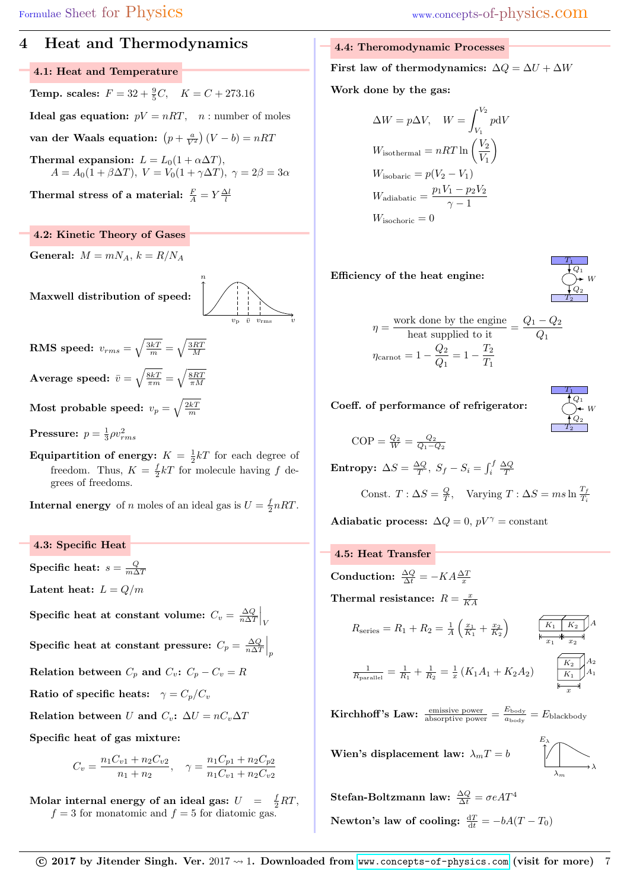## 4 Heat and Thermodynamics

## 4.1: Heat and Temperature

**Temp. scales:**  $F = 32 + \frac{9}{5}C$ ,  $K = C + 273.16$ **Ideal gas equation:**  $pV = nRT$ ,  $n:$  number of moles van der Waals equation:  $\left(p+\frac{a}{V^2}\right)(V-b) = nRT$ Thermal expansion:  $L = L_0(1 + \alpha \Delta T)$ ,

 $A = A_0(1 + \beta \Delta T), V = V_0(1 + \gamma \Delta T), \gamma = 2\beta = 3\alpha$ 

Thermal stress of a material:  $\frac{F}{A} = Y \frac{\Delta l}{l}$ 

### 4.2: Kinetic Theory of Gases

General:  $M = mN_A$ ,  $k = R/N_A$ 

Maxwell distribution of speed:



 $\textbf{RMS} \textbf{ speed: } v_{rms} = \sqrt{\frac{3kT}{m}} = \sqrt{\frac{3RT}{M}}$  $\textbf{Average speed: } \bar{v} = \sqrt{\frac{8kT}{\pi m}} = \sqrt{\frac{8RT}{\pi M}}$ 

Most probable speed:  $v_p = \sqrt{\frac{2kT}{m}}$ 

**Pressure:**  $p = \frac{1}{3}\rho v_{rms}^2$ 

**Equipartition of energy:**  $K = \frac{1}{2}kT$  for each degree of freedom. Thus,  $K = \frac{f}{2}kT$  for molecule having f degrees of freedoms.

**Internal energy** of *n* moles of an ideal gas is  $U = \frac{f}{2}nRT$ .

4.3: Specific Heat Specific heat:  $s = \frac{Q}{m\Delta T}$ Latent heat:  $L = Q/m$ Specific heat at constant volume:  $C_v = \frac{\Delta Q}{n \Delta T} \Big|_V$ Specific heat at constant pressure:  $C_p = \frac{\Delta Q}{n \Delta T} \Big|_p$ Relation between  $C_p$  and  $C_v$ :  $C_p - C_v = R$ Ratio of specific heats:  $\gamma = C_p/C_v$ Relation between U and  $C_v$ :  $\Delta U = nC_v \Delta T$ Specific heat of gas mixture:

$$
C_v = \frac{n_1 C_{v1} + n_2 C_{v2}}{n_1 + n_2}, \quad \gamma = \frac{n_1 C_{p1} + n_2 C_{p2}}{n_1 C_{v1} + n_2 C_{v2}}
$$

Molar internal energy of an ideal gas:  $U = \frac{f}{2}RT$ ,  $f = 3$  for monatomic and  $f = 5$  for diatomic gas.

#### 4.4: Theromodynamic Processes

First law of thermodynamics:  $\Delta Q = \Delta U + \Delta W$ 

Work done by the gas:

$$
\Delta W = p\Delta V, \quad W = \int_{V_1}^{V_2} p dV
$$
  
\n
$$
W_{\text{isothermal}} = nRT \ln \left(\frac{V_2}{V_1}\right)
$$
  
\n
$$
W_{\text{isobaric}} = p(V_2 - V_1)
$$
  
\n
$$
W_{\text{adiabatic}} = \frac{p_1V_1 - p_2V_2}{\gamma - 1}
$$
  
\n
$$
W_{\text{isochoric}} = 0
$$

### Efficiency of the heat engine:



$$
\eta = \frac{\text{work done by the engine}}{\text{heat supplied to it}} = \frac{Q_1 - Q_2}{Q_1}
$$

$$
\eta_{\text{carnot}} = 1 - \frac{Q_2}{Q_1} = 1 - \frac{T_2}{T_1}
$$

Coeff. of performance of refrigerator:

$$
\begin{array}{c}\nT_1 \\
\uparrow Q_1 \\
\downarrow Q_2 \\
\hline\nT_2\n\end{array}
$$

$$
\text{COP} = \frac{Q_2}{W} = \frac{Q_2}{Q_1 - Q_2}
$$

Entropy:  $\Delta S = \frac{\Delta Q}{T}$ ,  $S_f - S_i = \int_i^f \frac{\Delta Q}{T}$ 

Const. 
$$
T : \Delta S = \frac{Q}{T}
$$
, Varying  $T : \Delta S = ms \ln \frac{T_f}{T_i}$ 

Adiabatic process:  $\Delta Q = 0$ ,  $pV^{\gamma} = constant$ 

4.5: Heat Transfer

Conduction:  $\frac{\Delta Q}{\Delta t} = -KA \frac{\Delta T}{x}$ 

Thermal resistance:  $R = \frac{x}{KA}$ 

Rseries = R<sup>1</sup> + R<sup>2</sup> = 1 A x<sup>1</sup> K<sup>1</sup> + x<sup>2</sup> K<sup>2</sup> x<sup>1</sup> A x<sup>2</sup> K<sup>1</sup> K<sup>2</sup> A<sup>2</sup>

$$
\frac{1}{R_{\text{parallel}}} = \frac{1}{R_1} + \frac{1}{R_2} = \frac{1}{x} \left( K_1 A_1 + K_2 A_2 \right) \qquad \frac{K_2}{K_1}
$$

 $K<sub>2</sub>$ x  $A<sub>1</sub>$ 

**Kirchhoff's Law:**  $\frac{\text{emissue power}}{\text{absorption}} = \frac{E_{\text{body}}}{a_{\text{body}}}$  $\frac{E_{\text{body}}}{a_{\text{body}}} = E_{\text{blackbody}}$ 

Wien's displacement law:  $\lambda_m T = b$ 

$$
\bigwedge_{\lambda_m}^{E_{\lambda}} \longrightarrow \lambda
$$

 $\textbf{Stefan-Boltzmann law:}~~\frac{\Delta Q}{\Delta t}=\sigma e A T^4$ Newton's law of cooling:  $\frac{dT}{dt} = -bA(T - T_0)$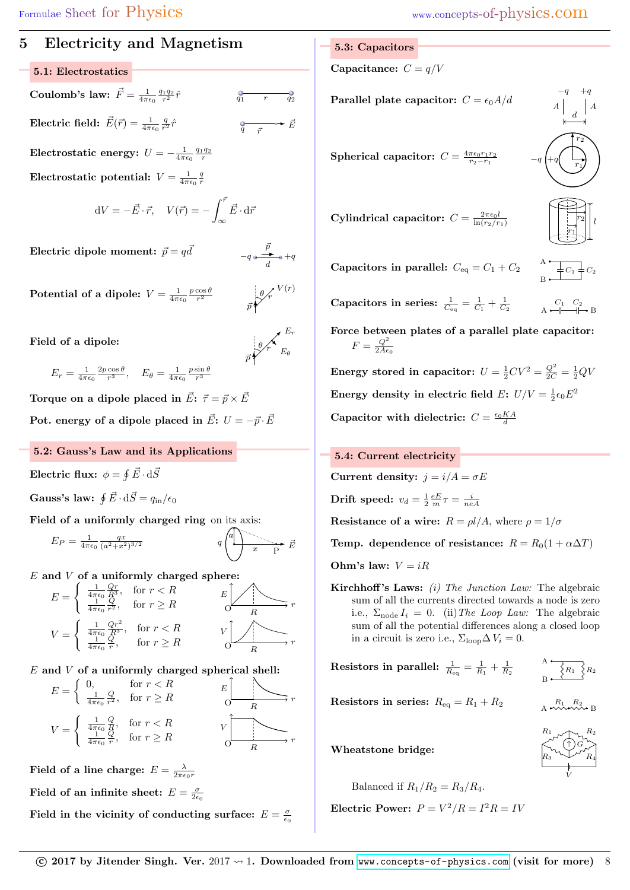## 5 Electricity and Magnetism

## 5.1: Electrostatics

Coulomb's law:  $\vec{F} = \frac{1}{4\pi\epsilon_0} \frac{q_1q_2}{r^2} \hat{r}$   $\vec{q_1}$  r  $\vec{q_2}$ Electric field:  $\vec{E}(\vec{r}) = \frac{1}{4\pi\epsilon_0} \frac{q}{r^2} \hat{r}$  $\frac{Q}{q-\vec{r}} \rightarrow \vec{E}$ 

Electrostatic energy:  $U = -\frac{1}{4\pi\epsilon_0}\frac{q_1q_2}{r}$  ${\rm Electrostatic\ potential:}\,\,V=\frac{1}{4\pi\epsilon_0}\frac{q}{r}$ 

$$
dV = -\vec{E} \cdot \vec{r}, \quad V(\vec{r}) = -\int_{\infty}^{\vec{r}} \vec{E} \cdot d\vec{r}
$$

Electric dipole moment:  $\vec{p} = q\vec{d}$  $\vec{d}$  –  $q \stackrel{\vec{p}}{\longrightarrow} q + q$ 

Potential of a dipole:  $V = \frac{1}{4\pi\epsilon_0}\frac{p\cos\theta}{r^2}$  $\bar{p}$ r  $\theta \bigg/ \int_r V(r)$ 

Field of a dipole:

$$
\overrightarrow{p} \overrightarrow{p} \overrightarrow{r} E_{\theta}
$$

d

 $E_r = \frac{1}{4\pi\epsilon_0} \frac{2p\cos\theta}{r^3}, \quad E_\theta = \frac{1}{4\pi\epsilon_0} \frac{p\sin\theta}{r^3}$ 

Torque on a dipole placed in  $\vec{E}$ :  $\vec{\tau} = \vec{p} \times \vec{E}$ Pot. energy of a dipole placed in  $\vec{E}$ :  $U = -\vec{p} \cdot \vec{E}$ 

## 5.2: Gauss's Law and its Applications

Electric flux:  $\phi = \oint \vec{E} \cdot \mathrm{d} \bar{S}$ 

Gauss's law:  $\oint \vec{E} \cdot d\vec{S} = q_{\rm in}/\epsilon_0$ 

Field of a uniformly charged ring on its axis:

$$
E_P = \frac{1}{4\pi\epsilon_0} \frac{qx}{(a^2+x^2)^{3/2}} \qquad \qquad q \begin{pmatrix} a \\ b \end{pmatrix} \longrightarrow q
$$

 $E$  and  $V$  of a uniformly charged sphere:

$$
E = \begin{cases} \frac{1}{4\pi\epsilon_0} \frac{Qr}{R^3}, & \text{for } r < R\\ \frac{1}{4\pi\epsilon_0} \frac{Q}{r^2}, & \text{for } r \ge R \end{cases} \qquad E \downarrow \qquad r
$$
\n
$$
V = \begin{cases} \frac{1}{4\pi\epsilon_0} \frac{Qr^2}{R^3}, & \text{for } r < R\\ \frac{1}{4\pi\epsilon_0} \frac{Q}{r}, & \text{for } r \ge R \end{cases} \qquad V \downarrow \qquad r
$$

## ${\cal E}$  and  ${\cal V}$  of a uniformly charged spherical shell:

$$
E = \begin{cases} 0, & \text{for } r < R \\ \frac{1}{4\pi\epsilon_0} \frac{Q}{r^2}, & \text{for } r \ge R \end{cases} \qquad E \qquad \qquad E \qquad \qquad F \qquad \qquad F \qquad \qquad F \qquad \qquad F \qquad \qquad F \qquad \qquad F \qquad \qquad F \qquad \qquad F \qquad \qquad F \qquad \qquad F \qquad \qquad F \qquad \qquad F \qquad \qquad F \qquad \qquad F \qquad \qquad F \qquad \qquad F \qquad \qquad F \qquad \qquad F \qquad \qquad F \qquad \qquad F \qquad \qquad F \qquad \qquad F \qquad \qquad F \qquad \qquad F \qquad \qquad F \qquad \qquad F \qquad \qquad F \qquad \qquad F \qquad \qquad F \qquad \qquad F \qquad \qquad F \qquad \qquad F \qquad \qquad F \qquad \qquad F \qquad \qquad F \qquad \qquad F \qquad \qquad F \qquad \qquad F \qquad \qquad F \qquad \qquad F \qquad \qquad F \qquad \qquad F \qquad \qquad F \qquad \qquad F \qquad \qquad F \qquad \qquad F \qquad \qquad F \qquad \qquad F \qquad \qquad F \qquad \qquad F \qquad \qquad F \qquad \qquad F \qquad \qquad F \qquad \qquad F \qquad \qquad F \qquad \qquad F \qquad \qquad F \qquad \qquad F \qquad \qquad F \qquad \qquad F \qquad \qquad F \qquad \qquad F \qquad \qquad F \qquad \qquad F \qquad \qquad F \qquad \qquad F \qquad \qquad F \qquad \qquad F \qquad \qquad F \qquad \qquad F \qquad \qquad F \qquad \qquad F \qquad \qquad F \qquad \qquad F \qquad \qquad F \qquad \qquad F \qquad \qquad F \qquad \qquad F \qquad \qquad F \qquad \qquad F \qquad \qquad F \qquad \qquad F \qquad \qquad F \qquad \qquad F \qquad \qquad F \qquad \qquad F \qquad \qquad F \qquad \qquad F \qquad \qquad F \qquad \qquad F \qquad \qquad F \qquad \qquad F \qquad \qquad F \qquad \qquad F \qquad \qquad F \qquad \qquad F \qquad \qquad F \qquad \qquad
$$

Field of a line charge:  $E=\frac{\lambda}{2\pi\epsilon_0 r}$ Field of an infinite sheet:  $E = \frac{\sigma}{2\epsilon_0}$ 

Field in the vicinity of conducting surface:  $E = \frac{\sigma}{\epsilon_0}$ 

#### 5.3: Capacitors

Capacitance:  $C = q/V$ 

Parallel plate capacitor:  $C = \epsilon_0 A/d$ 

Spherical capacitor:  $C = \frac{4\pi\epsilon_0 r_1 r_2}{r_2-r_1}$   $-q \left( +q \left( \begin{array}{c} \frac{1}{r_1} \end{array} \right)$ 

 $\textbf{Cylindrical capacitor: } C = \frac{2\pi\epsilon_0 l}{\ln(r_2/r_1)}$   $\left|\begin{array}{c} \boxed{r_2} \end{array}\right|$ 

 $-q$  +q  $r_1$  $r_2$ 

 $\begin{array}{c|c} A & A \\ & d & A \end{array}$ 

 $r<sub>2</sub>$ 

 $+q$ 

 $-q$ 

Capacitors in parallel:  $C_{\text{eq}} = C_1 + C_2$ 

Capacitors in series:  $\frac{1}{C_{\text{eq}}} = \frac{1}{C_1} + \frac{1}{C_2}$ 

 $C_1$   $C_2$ <br>A  $\leftarrow$   $\leftarrow$   $\leftarrow$  B

 $C_1$ 

A B

Force between plates of a parallel plate capacitor:  $F = \frac{Q^2}{2A\epsilon}$  $2A\epsilon_0$ 

Energy stored in capacitor:  $U = \frac{1}{2}CV^2 = \frac{Q^2}{2C} = \frac{1}{2}QV$ Energy density in electric field  $E: U/V = \frac{1}{2} \epsilon_0 E^2$ Capacitor with dielectric:  $C = \frac{\epsilon_0 K A}{d}$ 

### 5.4: Current electricity

Current density:  $j = i/A = \sigma E$ Drift speed:  $v_d = \frac{1}{2} \frac{eE}{m} \tau = \frac{i}{neA}$ Resistance of a wire:  $R = \rho l/A$ , where  $\rho = 1/\sigma$ Temp. dependence of resistance:  $R = R_0(1 + \alpha \Delta T)$ 

Ohm's law:  $V = iR$ 

**Kirchhoff's Laws:** (i) The Junction Law: The algebraic sum of all the currents directed towards a node is zero i.e.,  $\Sigma_{\text{node}} I_i = 0$ . (ii) The Loop Law: The algebraic sum of all the potential differences along a closed loop in a circuit is zero i.e.,  $\Sigma_{\text{loop}}\Delta V_i = 0$ .

**Resistors in parallel:** 
$$
\frac{1}{R_{\text{eq}}} = \frac{1}{R_1}
$$

 $+\frac{1}{R_2}$   $\qquad \qquad$   $\overrightarrow{R_1}$   $\qquad \qquad$   $\overrightarrow{R_2}$ A B  $R_1$ 

Resistors in series:  $R_{\text{eq}} = R_1 + R_2$ 

A  $R_1 R_2$  B

 $R_1 \sim R_2$ 

 $\uparrow$  ) G

V

Wheatstone bridge:

 $R_3 \quad \bigtriangledown \quad R_4$ 

Balanced if  $R_1/R_2 = R_3/R_4$ .

Electric Power:  $P = V^2/R = I^2R = IV$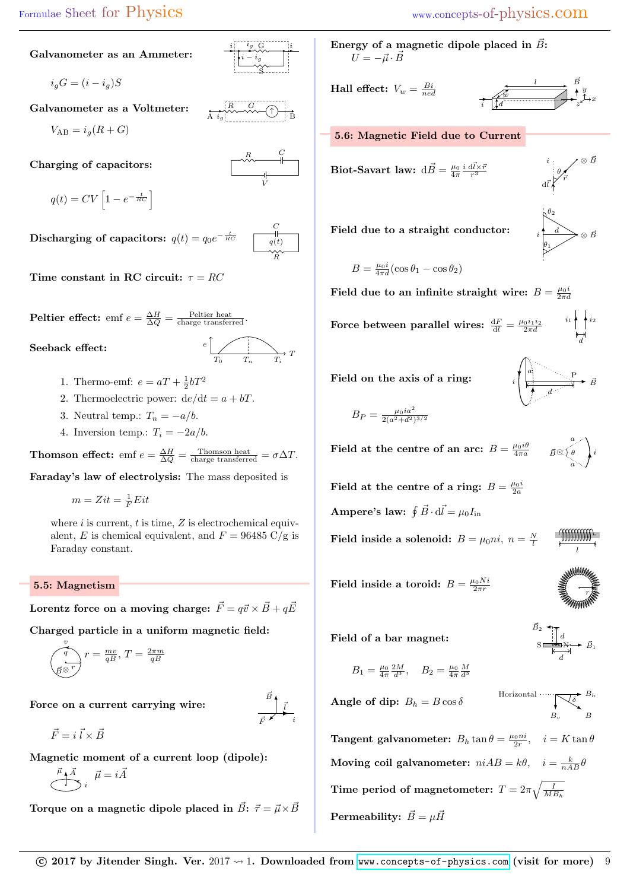## Galvanometer as an Ammeter:

$$
i_g G = (i - i_g)S
$$

Galvanometer as a Voltmeter:

$$
V_{\rm AB} = i_g(R + G)
$$

Charging of capacitors:

$$
q(t) = CV\left[1 - e^{-\frac{t}{RC}}\right]
$$

Discharging of capacitors:  $q(t) = q_0 e^{-\frac{t}{RC}}$ 



Time constant in RC circuit:  $\tau = RC$ 

**Peltier effect:** emf  $e = \frac{\Delta H}{\Delta Q} = \frac{\text{Peltier heat}}{\text{charge transferred}}$ .

Seeback effect:



i

A  $i_g$ 

 $i_g$  G

 $R_{\sim} G_{\sim}$ 

S  $i - i_g$ 

 $R$   $C$ 

V

i

B

- 1. Thermo-emf:  $e = aT + \frac{1}{2}bT^2$
- 2. Thermoelectric power:  $de/dt = a + bT$ .
- 3. Neutral temp.:  $T_n = -a/b$ .
- 4. Inversion temp.:  $T_i = -2a/b$ .

**Thomson effect:** emf  $e = \frac{\Delta H}{\Delta Q} = \frac{\text{Thomson heat}}{\text{charge transferred}} = \sigma \Delta T$ .

Faraday's law of electrolysis: The mass deposited is

 $m = Zit = \frac{1}{F}Eit$ 

where  $i$  is current,  $t$  is time,  $Z$  is electrochemical equivalent, E is chemical equivalent, and  $F = 96485 \text{ C/g}$  is Faraday constant.

### 5.5: Magnetism

Lorentz force on a moving charge:  $\vec{F} = q\vec{v} \times \vec{B} + q\vec{E}$ 

Charged particle in a uniform magnetic field:

$$
\underbrace{\int_{\vec{B}}^{v} r = \frac{mv}{qB}, T = \frac{2\pi m}{qB}}
$$

Force on a current carrying wire:

 $i\vec{A}$ 

 $\vec{F} = i \vec{l} \times \vec{B}$ 

Magnetic moment of a current loop (dipole):

$$
\bigoplus^{\vec{\mu}} i \overrightarrow{A}
$$

Torque on a magnetic dipole placed in  $\vec{B}$ :  $\vec{\tau} = \vec{\mu} \times \vec{B}$ 

Energy of a magnetic dipole placed in  $\vec{B}$ :  $U = -\vec{\mu} \cdot \vec{B}$ 

**Hall effect:**  $V_w = \frac{Bi}{ned}$ 

$$
\begin{array}{c|c}\n & \stackrel{l}{\longrightarrow} & \stackrel{B}{\longrightarrow} \\
\hline\n\vdots & \stackrel{l}{\downarrow d} & \stackrel{y}{\longrightarrow} & x\n\end{array}
$$

a

i

d

5.6: Magnetic Field due to Current

Biot-Savart law: 
$$
d\vec{B} = \frac{\mu_0}{4\pi} \frac{i d\vec{l} \times \vec{r}}{r^3}
$$

i  $d\bar{l}$ θ  $\bar{r}$ ⊗ B~

Field due to a straight conductor:



 $\vec{B}$ P

a

l

 $\vec{B}_2$   $\uparrow$   $\uparrow$ 

Horizontal  $\overline{\bigcup_{\delta} B_h}$  $B_{v}$ 

d  $S \stackrel{\longrightarrow}{\longrightarrow} N$   $\vec{B}_1$ 

B

a θ

$$
B = \frac{\mu_0 i}{4\pi d} (\cos \theta_1 - \cos \theta_2)
$$

Field due to an infinite straight wire:  $B = \frac{\mu_0 i}{2\pi d}$ 

Force between parallel wires:  $\frac{dF}{dl} = \frac{\mu_0 i_1 i_2}{2\pi d}$  $i_1$  +  $i_2$ d

Field on the axis of a ring:

$$
B_P = \frac{\mu_0 i a^2}{2(a^2 + d^2)^{3/2}}
$$

 $\textbf{Field at the centre of an arc: } B = \frac{\mu_0 i \theta}{4 \pi a} \qquad \vec{B} \odot \vec{\theta} \quad \Big| i$ 

Field at the centre of a ring:  $B = \frac{\mu_0 i}{2a}$ 

Ampere's law:  $\oint \vec{B} \cdot d\vec{l} = \mu_0 I_{\text{in}}$ 

Field inside a solenoid:  $B = \mu_0 n i$ ,  $n = \frac{N}{l}$ 

Field inside a toroid:  $B = \frac{\mu_0 Ni}{2\pi r}$  $2\pi r$   $\qquad \qquad \sum_{r}$   $\qquad \qquad$ 

Field of a bar magnet:

$$
B_1 = \frac{\mu_0}{4\pi} \frac{2M}{d^3}, \quad B_2 = \frac{\mu_0}{4\pi} \frac{M}{d^3}
$$

**Angle of dip:** 
$$
B_h = B \cos \delta
$$

**Tangent galvanometer:**  $B_h \tan \theta = \frac{\mu_0 n i}{2r}$ ,  $i = K \tan \theta$ Moving coil galvanometer:  $niAB = k\theta$ ,  $i = \frac{k}{nAB}\theta$ Time period of magnetometer:  $T=2\pi\sqrt{\frac{I}{MB_h}}$ Permeability:  $\vec{B} = \mu \vec{H}$ 

i  $\bar{l}$  $\vec{B}$ 

 $\bar{F}$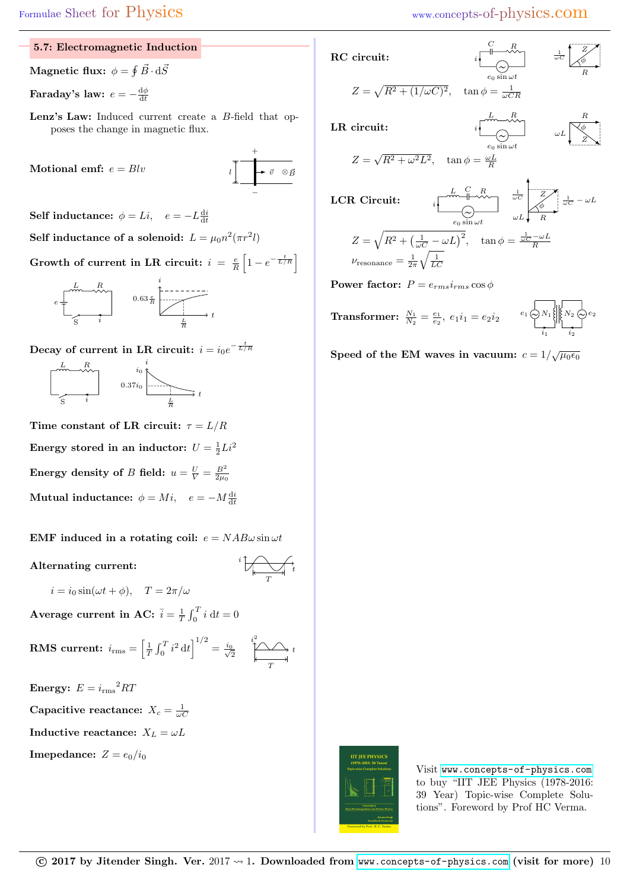$C \qquad R$ 

 $L R$ 

1

## 5.7: Electromagnetic Induction

Magnetic flux:  $\phi = \oint \vec{B} \cdot {\rm d} \vec{S}$ 

Faraday's law:  $e=-\frac{\mathrm{d}\phi}{\mathrm{d}t}$ 

Lenz's Law: Induced current create a B-field that opposes the change in magnetic flux.

Motional emf:  $e = Blv$ 

$$
\begin{array}{c}\n+ \\
\downarrow \\
\hline\n-\end{array}
$$

Self inductance:  $\phi = Li$ ,  $e = -L \frac{di}{dt}$ 

Self inductance of a solenoid:  $L = \mu_0 n^2 (\pi r^2 l)$ Growth of current in LR circuit:  $i = \frac{e}{R} \left[ 1 - e^{-\frac{t}{L/R}} \right]$ 



Decay of current in LR circuit:  $i = i_0 e^{-\frac{t}{L/R}}$ 



Time constant of LR circuit:  $\tau = L/R$ 

Energy stored in an inductor:  $U = \frac{1}{2}Li^2$ 

Energy density of  $B$  field:  $u = \frac{U}{V} = \frac{B^2}{2\mu_0}$ Mutual inductance:  $\phi = Mi$ ,  $e = -M \frac{di}{dt}$ 

EMF induced in a rotating coil:  $e = NAB\omega \sin \omega t$ 

Alternating current:  $\overrightarrow{a}$ 

$$
i \bigvee \downarrow
$$

 $i = i_0 \sin(\omega t + \phi), \quad T = 2\pi/\omega$ 

Average current in AC:  $\bar{i} = \frac{1}{T} \int_0^T i \, dt = 0$ 

**RMS current:** 
$$
i_{\text{rms}} = \left[\frac{1}{T} \int_0^T i^2 dt\right]^{1/2} = \frac{i_0}{\sqrt{2}} \quad \overbrace{\frac{i^2}{T}}^{\frac{i^2}{2}} \longrightarrow
$$

Energy:  $E = i_{\text{rms}}^2 RT$ 

Capacitive reactance:  $X_c = \frac{1}{\omega C}$ 

Inductive reactance:  $X_L = \omega L$ 

**Imepedance:**  $Z = e_0/i_0$ 

RC circuit:

$$
\begin{array}{ccc}\nC & R & & \downarrow & Z \\
\hline\n\downarrow & \leadsto & \downarrow & \downarrow & \downarrow \\
C & & & & \downarrow & \downarrow \\
\hline\nC & & & & R & \downarrow \\
\hline\nC & & & & R & \end{array}
$$

$$
Z = \sqrt{R^2 + (1/\omega C)^2}, \quad \tan \phi = \frac{1}{\omega CR}
$$

R  $\omega L$ φ

Z

LR circuit:

$$
Z = \sqrt{R^2 + \omega^2 L^2}, \quad \tan \phi = \frac{\omega L}{R}
$$

LCR Circuit: 
$$
i \frac{L}{\omega C} \frac{R}{\omega C} \frac{1}{\omega C} \frac{Z}{\omega C} - \omega L
$$

$$
Z = \sqrt{R^2 + \left(\frac{1}{\omega C} - \omega L\right)^2}, \quad \tan \phi = \frac{\frac{1}{\omega C} - \omega L}{R}
$$

$$
\nu_{\text{resonance}} = \frac{1}{2\pi} \sqrt{\frac{1}{LC}}
$$

**Power factor:**  $P = e_{rms}i_{rms} \cos \phi$ 

**Transformer:** 
$$
\frac{N_1}{N_2} = \frac{e_1}{e_2}
$$
,  $e_1 i_1 = e_2 i_2$   $e_1 \underbrace{\bigotimes_{i_1} N_1}_{i_1} \underbrace{\bigotimes_{i_2} k_2}_{i_2} e_2$ 

Speed of the EM waves in vacuum:  $c = 1/\sqrt{\mu_0 \epsilon_0}$ 



Visit <www.concepts-of-physics.com> to buy "IIT JEE Physics (1978-2016: 39 Year) Topic-wise Complete Solutions". Foreword by Prof HC Verma.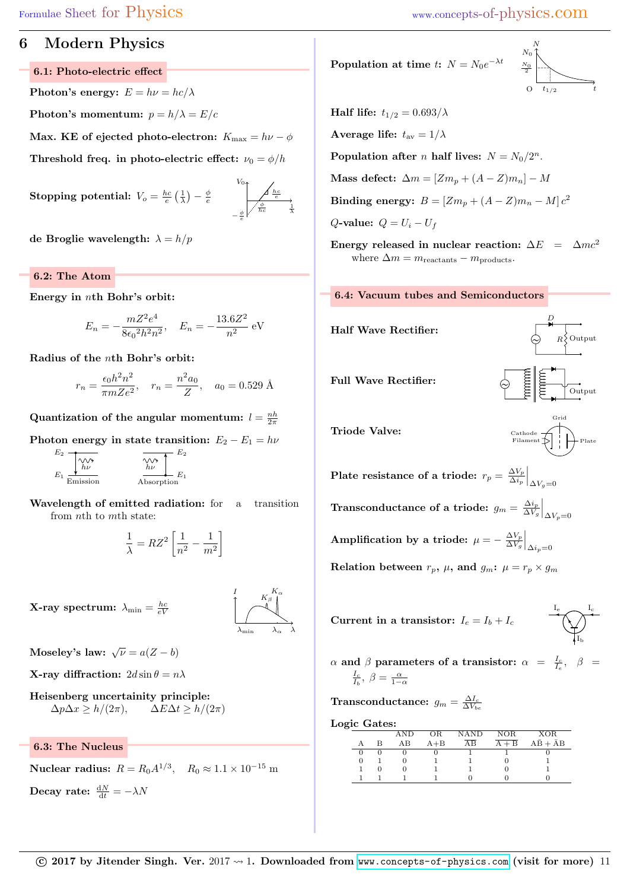## 6 Modern Physics

6.1: Photo-electric effect

Photon's energy:  $E = h\nu = hc/\lambda$ 

Photon's momentum:  $p = h/\lambda = E/c$ 

Max. KE of ejected photo-electron:  $K_{\text{max}} = h\nu - \phi$ Threshold freq. in photo-electric effect:  $\nu_0 = \phi/h$ 

 $\textbf{Stoping potential:}\ \ V_o = \frac{hc}{e}\left(\frac{1}{\lambda}\right) - \frac{\phi}{e}$ 

$$
V_0
$$
\n
$$
-\frac{\phi}{e}
$$
\n
$$
-\frac{\phi}{e}
$$
\n
$$
-\frac{\phi}{2}
$$
\n
$$
-\frac{\phi}{2}
$$

de Broglie wavelength:  $\lambda = h/p$ 

### 6.2: The Atom

Energy in nth Bohr's orbit:

$$
E_n = -\frac{mZ^2e^4}{8\epsilon_0^2h^2n^2}, \quad E_n = -\frac{13.6Z^2}{n^2} \text{ eV}
$$

Radius of the nth Bohr's orbit:

$$
r_n = \frac{\epsilon_0 h^2 n^2}{\pi m Z e^2}, \quad r_n = \frac{n^2 a_0}{Z}, \quad a_0 = 0.529 \text{ Å}
$$

Quantization of the angular momentum:  $l = \frac{nh}{2\pi}$ 

Photon energy in state transition:  $E_2 - E_1 = h\nu$ 

$$
E_2 \underbrace{\uparrow \downarrow \downarrow \downarrow}_{\text{E}} \underbrace{\uparrow \downarrow \downarrow \downarrow}_{\text{Emission}} \underbrace{\uparrow \downarrow \downarrow \downarrow}_{\text{Absorption}} E_2
$$

Wavelength of emitted radiation: for a transition from nth to mth state:

$$
\frac{1}{\lambda} = RZ^2 \left[ \frac{1}{n^2} - \frac{1}{m^2} \right]
$$

**X-ray spectrum:**  $\lambda_{\min} = \frac{hc}{eV}$ 



Moseley's law:  $\sqrt{\nu} = a(Z - b)$ 

**X-ray diffraction:**  $2d \sin \theta = n\lambda$ 

Heisenberg uncertainity principle:  $\Delta p \Delta x \ge h/(2\pi), \qquad \Delta E \Delta t \ge h/(2\pi)$ 

6.3: The Nucleus

Nuclear radius:  $R = R_0 A^{1/3}$ ,  $R_0 \approx 1.1 \times 10^{-15}$  m Decay rate:  $\frac{\mathrm{d}N}{\mathrm{d}t} = -\lambda N$ 

Population at time  $t: N = N_0 e^{-\lambda t}$ 

$$
\begin{array}{c}\nN\\N_0\\N_0\\
\hline\n2\\O\n\end{array}
$$

Half life:  $t_{1/2} = 0.693/\lambda$ 

Average life:  $t_{\text{av}} = 1/\lambda$ 

Population after *n* half lives:  $N = N_0/2^n$ .

Mass defect:  $\Delta m = [Zm_p + (A-Z)m_n] - M$ 

 **Binding energy:** 
$$
B = [Zm_p + (A - Z)m_n - M]c^2
$$

 $Q$ -value:  $Q = U_i - U_f$ 

Energy released in nuclear reaction:  $\Delta E = \Delta mc^2$ where  $\Delta m = m_{\text{reactants}} - m_{\text{products}}$ .



Half Wave Rectifier:



D

Triode Valve:

 $\Gamma$ Filament  $\leftarrow$  Plate Grid

Plate resistance of a triode:  $r_p = \frac{\Delta V_p}{\Delta i_p}$  $\frac{\Delta V_p}{\Delta i_p}\Big|_{\Delta V_g=0}$ Transconductance of a triode:  $g_m = \frac{\Delta i_p}{\Delta V}$  $\frac{\Delta i_p}{\Delta V_g}\bigg|_{\Delta V_p=0}$ Amplification by a triode:  $\mu = -\frac{\Delta V_p}{\Delta V}$  $\frac{\Delta V_p}{\Delta V_g}\bigg|_{\Delta i_p=0}$ 

Relation between  $r_p$ ,  $\mu$ , and  $g_m$ :  $\mu = r_p \times g_m$ 

Current in a transistor:  $I_e = I_b + I_c$ 

$$
\underbrace{\begin{array}{c} I_e \\ \longleftarrow \\ \longleftarrow \\ I_b \end{array}} \underbrace{I_c}
$$

 $\alpha$  and  $\beta$  parameters of a transistor:  $\alpha$  =  $\frac{I_c}{I_e}$ ,  $\beta$  =  $\frac{I_c}{I_b}, \ \beta = \frac{\alpha}{1-\alpha}$ 

 $\textbf{Transconductance: } g_m = \frac{\Delta I_c}{\Delta V_{be}}$ 

Logic Gates:

| - |          |     |         |      |            |              |
|---|----------|-----|---------|------|------------|--------------|
|   |          | AND | ОR      | NAND | NOR        | <b>XOR</b>   |
|   | А        | AВ  | $A + B$ | AΒ   | $+ B$<br>А | $AB +$<br>AВ |
|   | $\theta$ |     |         |      |            |              |
|   | 0        |     |         |      |            |              |
|   |          |     |         |      |            |              |
|   |          |     |         |      |            |              |
|   |          |     |         |      |            |              |